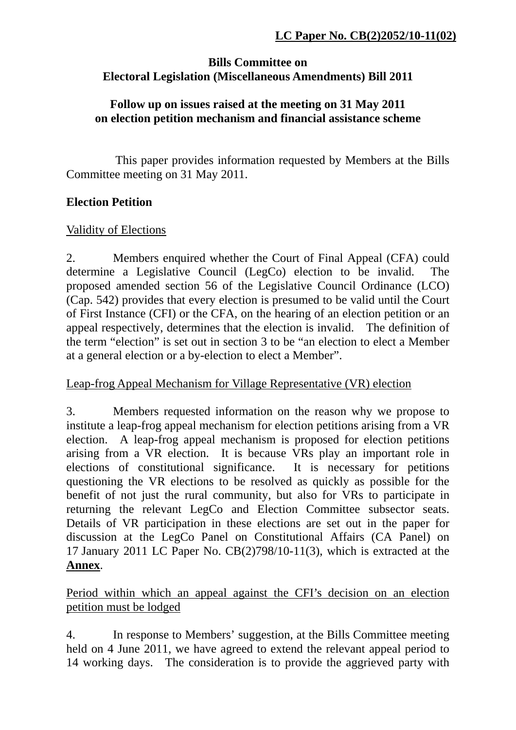### **Bills Committee on Electoral Legislation (Miscellaneous Amendments) Bill 2011**

#### **Follow up on issues raised at the meeting on 31 May 2011 on election petition mechanism and financial assistance scheme**

 This paper provides information requested by Members at the Bills Committee meeting on 31 May 2011.

#### **Election Petition**

#### Validity of Elections

2. Members enquired whether the Court of Final Appeal (CFA) could determine a Legislative Council (LegCo) election to be invalid. The proposed amended section 56 of the Legislative Council Ordinance (LCO) (Cap. 542) provides that every election is presumed to be valid until the Court of First Instance (CFI) or the CFA, on the hearing of an election petition or an appeal respectively, determines that the election is invalid. The definition of the term "election" is set out in section 3 to be "an election to elect a Member at a general election or a by-election to elect a Member".

## Leap-frog Appeal Mechanism for Village Representative (VR) election

3. Members requested information on the reason why we propose to institute a leap-frog appeal mechanism for election petitions arising from a VR election. A leap-frog appeal mechanism is proposed for election petitions arising from a VR election. It is because VRs play an important role in elections of constitutional significance. It is necessary for petitions questioning the VR elections to be resolved as quickly as possible for the benefit of not just the rural community, but also for VRs to participate in returning the relevant LegCo and Election Committee subsector seats. Details of VR participation in these elections are set out in the paper for discussion at the LegCo Panel on Constitutional Affairs (CA Panel) on 17 January 2011 LC Paper No. CB(2)798/10-11(3), which is extracted at the **Annex**.

Period within which an appeal against the CFI's decision on an election petition must be lodged

4. In response to Members' suggestion, at the Bills Committee meeting held on 4 June 2011, we have agreed to extend the relevant appeal period to 14 working days. The consideration is to provide the aggrieved party with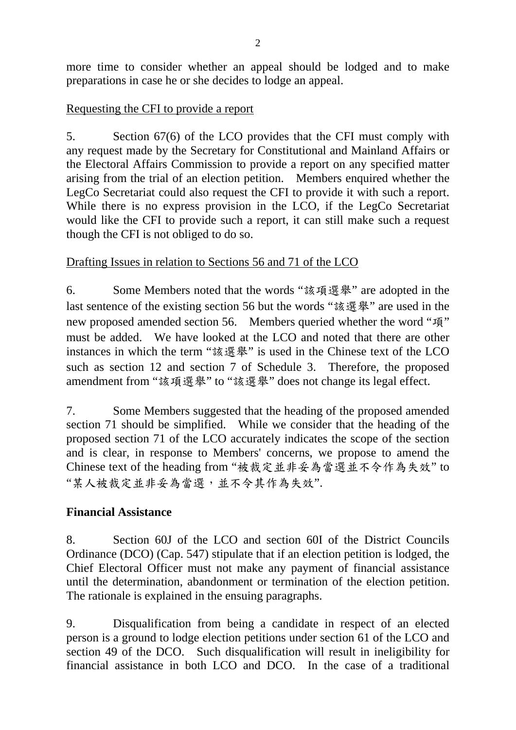more time to consider whether an appeal should be lodged and to make preparations in case he or she decides to lodge an appeal.

### Requesting the CFI to provide a report

5. Section 67(6) of the LCO provides that the CFI must comply with any request made by the Secretary for Constitutional and Mainland Affairs or the Electoral Affairs Commission to provide a report on any specified matter arising from the trial of an election petition. Members enquired whether the LegCo Secretariat could also request the CFI to provide it with such a report. While there is no express provision in the LCO, if the LegCo Secretariat would like the CFI to provide such a report, it can still make such a request though the CFI is not obliged to do so.

## Drafting Issues in relation to Sections 56 and 71 of the LCO

6. Some Members noted that the words "該項選舉" are adopted in the last sentence of the existing section 56 but the words "該選舉" are used in the new proposed amended section 56. Members queried whether the word "項" must be added. We have looked at the LCO and noted that there are other instances in which the term "該選舉" is used in the Chinese text of the LCO such as section 12 and section 7 of Schedule 3. Therefore, the proposed amendment from "該項選舉" to "該選舉" does not change its legal effect.

7. Some Members suggested that the heading of the proposed amended section 71 should be simplified. While we consider that the heading of the proposed section 71 of the LCO accurately indicates the scope of the section and is clear, in response to Members' concerns, we propose to amend the Chinese text of the heading from "被裁定並非妥為當選並不令作為失效" to "某人被裁定並非妥為當選,並不令其作為失效".

## **Financial Assistance**

8. Section 60J of the LCO and section 60I of the District Councils Ordinance (DCO) (Cap. 547) stipulate that if an election petition is lodged, the Chief Electoral Officer must not make any payment of financial assistance until the determination, abandonment or termination of the election petition. The rationale is explained in the ensuing paragraphs.

9. Disqualification from being a candidate in respect of an elected person is a ground to lodge election petitions under section 61 of the LCO and section 49 of the DCO. Such disqualification will result in ineligibility for financial assistance in both LCO and DCO. In the case of a traditional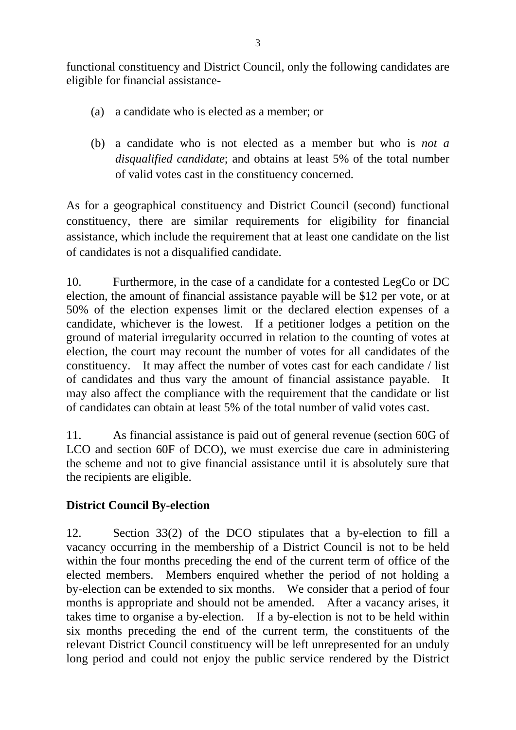functional constituency and District Council, only the following candidates are eligible for financial assistance-

- (a) a candidate who is elected as a member; or
- (b) a candidate who is not elected as a member but who is *not a disqualified candidate*; and obtains at least 5% of the total number of valid votes cast in the constituency concerned.

As for a geographical constituency and District Council (second) functional constituency, there are similar requirements for eligibility for financial assistance, which include the requirement that at least one candidate on the list of candidates is not a disqualified candidate.

10. Furthermore, in the case of a candidate for a contested LegCo or DC election, the amount of financial assistance payable will be \$12 per vote, or at 50% of the election expenses limit or the declared election expenses of a candidate, whichever is the lowest. If a petitioner lodges a petition on the ground of material irregularity occurred in relation to the counting of votes at election, the court may recount the number of votes for all candidates of the constituency. It may affect the number of votes cast for each candidate / list of candidates and thus vary the amount of financial assistance payable. It may also affect the compliance with the requirement that the candidate or list of candidates can obtain at least 5% of the total number of valid votes cast.

11. As financial assistance is paid out of general revenue (section 60G of LCO and section 60F of DCO), we must exercise due care in administering the scheme and not to give financial assistance until it is absolutely sure that the recipients are eligible.

# **District Council By-election**

12. Section 33(2) of the DCO stipulates that a by-election to fill a vacancy occurring in the membership of a District Council is not to be held within the four months preceding the end of the current term of office of the elected members. Members enquired whether the period of not holding a by-election can be extended to six months. We consider that a period of four months is appropriate and should not be amended. After a vacancy arises, it takes time to organise a by-election. If a by-election is not to be held within six months preceding the end of the current term, the constituents of the relevant District Council constituency will be left unrepresented for an unduly long period and could not enjoy the public service rendered by the District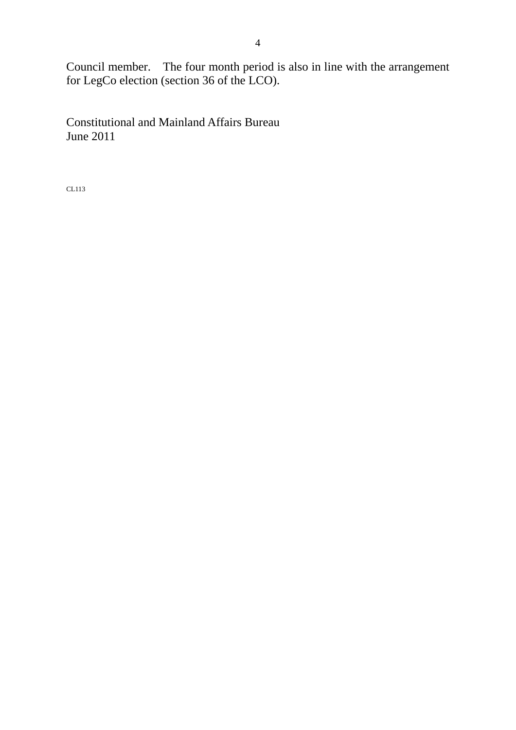Council member. The four month period is also in line with the arrangement for LegCo election (section 36 of the LCO).

Constitutional and Mainland Affairs Bureau June 2011

CL113